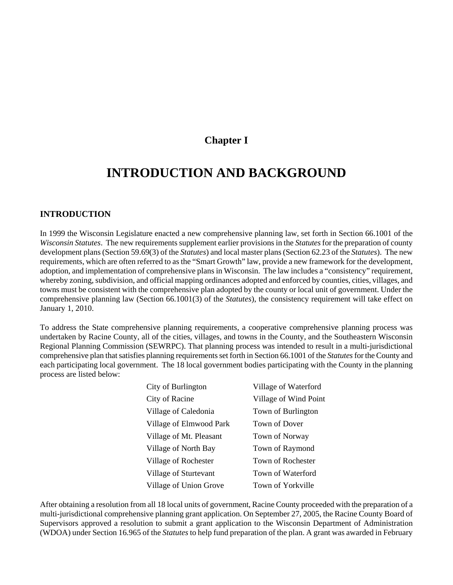## **Chapter I**

# **INTRODUCTION AND BACKGROUND**

#### **INTRODUCTION**

In 1999 the Wisconsin Legislature enacted a new comprehensive planning law, set forth in Section 66.1001 of the *Wisconsin Statutes*. The new requirements supplement earlier provisions in the *Statutes* for the preparation of county development plans (Section 59.69(3) of the *Statutes*) and local master plans (Section 62.23 of the *Statutes*). The new requirements, which are often referred to as the "Smart Growth" law, provide a new framework for the development, adoption, and implementation of comprehensive plans in Wisconsin. The law includes a "consistency" requirement, whereby zoning, subdivision, and official mapping ordinances adopted and enforced by counties, cities, villages, and towns must be consistent with the comprehensive plan adopted by the county or local unit of government. Under the comprehensive planning law (Section 66.1001(3) of the *Statutes*), the consistency requirement will take effect on January 1, 2010.

To address the State comprehensive planning requirements, a cooperative comprehensive planning process was undertaken by Racine County, all of the cities, villages, and towns in the County, and the Southeastern Wisconsin Regional Planning Commission (SEWRPC). That planning process was intended to result in a multi-jurisdictional comprehensive plan that satisfies planning requirements set forth in Section 66.1001 of the *Statutes* for the County and each participating local government. The 18 local government bodies participating with the County in the planning process are listed below:

| City of Burlington      | Village of Waterford  |
|-------------------------|-----------------------|
| City of Racine          | Village of Wind Point |
| Village of Caledonia    | Town of Burlington    |
| Village of Elmwood Park | Town of Dover         |
| Village of Mt. Pleasant | Town of Norway        |
| Village of North Bay    | Town of Raymond       |
| Village of Rochester    | Town of Rochester     |
| Village of Sturtevant   | Town of Waterford     |
| Village of Union Grove  | Town of Yorkville     |

After obtaining a resolution from all 18 local units of government, Racine County proceeded with the preparation of a multi-jurisdictional comprehensive planning grant application. On September 27, 2005, the Racine County Board of Supervisors approved a resolution to submit a grant application to the Wisconsin Department of Administration (WDOA) under Section 16.965 of the *Statutes* to help fund preparation of the plan. A grant was awarded in February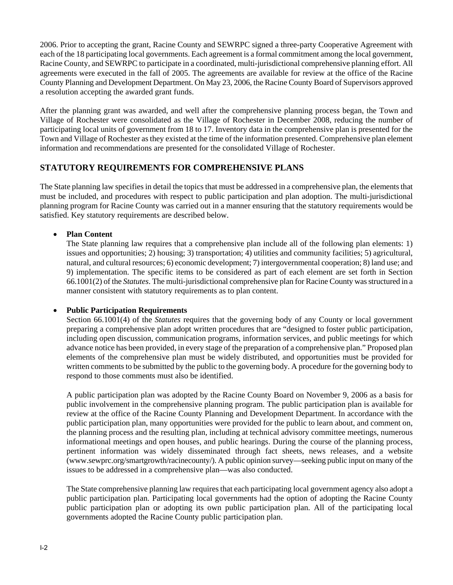2006. Prior to accepting the grant, Racine County and SEWRPC signed a three-party Cooperative Agreement with each of the 18 participating local governments. Each agreement is a formal commitment among the local government, Racine County, and SEWRPC to participate in a coordinated, multi-jurisdictional comprehensive planning effort. All agreements were executed in the fall of 2005. The agreements are available for review at the office of the Racine County Planning and Development Department. On May 23, 2006, the Racine County Board of Supervisors approved a resolution accepting the awarded grant funds.

After the planning grant was awarded, and well after the comprehensive planning process began, the Town and Village of Rochester were consolidated as the Village of Rochester in December 2008, reducing the number of participating local units of government from 18 to 17. Inventory data in the comprehensive plan is presented for the Town and Village of Rochester as they existed at the time of the information presented. Comprehensive plan element information and recommendations are presented for the consolidated Village of Rochester.

## **STATUTORY REQUIREMENTS FOR COMPREHENSIVE PLANS**

The State planning law specifies in detail the topics that must be addressed in a comprehensive plan, the elements that must be included, and procedures with respect to public participation and plan adoption. The multi-jurisdictional planning program for Racine County was carried out in a manner ensuring that the statutory requirements would be satisfied. Key statutory requirements are described below.

#### **Plan Content**

The State planning law requires that a comprehensive plan include all of the following plan elements: 1) issues and opportunities; 2) housing; 3) transportation; 4) utilities and community facilities; 5) agricultural, natural, and cultural resources; 6) economic development; 7) intergovernmental cooperation; 8) land use; and 9) implementation. The specific items to be considered as part of each element are set forth in Section 66.1001(2) of the *Statutes*. The multi-jurisdictional comprehensive plan for Racine County was structured in a manner consistent with statutory requirements as to plan content.

#### **Public Participation Requirements**

Section 66.1001(4) of the *Statutes* requires that the governing body of any County or local government preparing a comprehensive plan adopt written procedures that are "designed to foster public participation, including open discussion, communication programs, information services, and public meetings for which advance notice has been provided, in every stage of the preparation of a comprehensive plan." Proposed plan elements of the comprehensive plan must be widely distributed, and opportunities must be provided for written comments to be submitted by the public to the governing body. A procedure for the governing body to respond to those comments must also be identified.

A public participation plan was adopted by the Racine County Board on November 9, 2006 as a basis for public involvement in the comprehensive planning program. The public participation plan is available for review at the office of the Racine County Planning and Development Department. In accordance with the public participation plan, many opportunities were provided for the public to learn about, and comment on, the planning process and the resulting plan, including at technical advisory committee meetings, numerous informational meetings and open houses, and public hearings. During the course of the planning process, pertinent information was widely disseminated through fact sheets, news releases, and a website (www.sewprc.org/smartgrowth/racinecounty/). A public opinion survey—seeking public input on many of the issues to be addressed in a comprehensive plan—was also conducted.

The State comprehensive planning law requires that each participating local government agency also adopt a public participation plan. Participating local governments had the option of adopting the Racine County public participation plan or adopting its own public participation plan. All of the participating local governments adopted the Racine County public participation plan.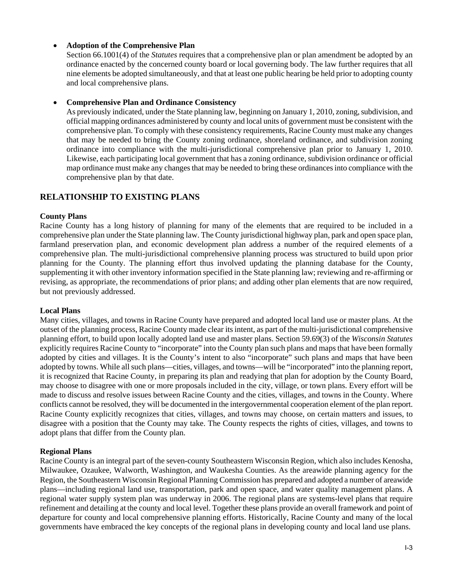#### **Adoption of the Comprehensive Plan**

Section 66.1001(4) of the *Statutes* requires that a comprehensive plan or plan amendment be adopted by an ordinance enacted by the concerned county board or local governing body. The law further requires that all nine elements be adopted simultaneously, and that at least one public hearing be held prior to adopting county and local comprehensive plans.

**Comprehensive Plan and Ordinance Consistency** 

As previously indicated, under the State planning law, beginning on January 1, 2010, zoning, subdivision, and official mapping ordinances administered by county and local units of government must be consistent with the comprehensive plan. To comply with these consistency requirements, Racine County must make any changes that may be needed to bring the County zoning ordinance, shoreland ordinance, and subdivision zoning ordinance into compliance with the multi-jurisdictional comprehensive plan prior to January 1, 2010. Likewise, each participating local government that has a zoning ordinance, subdivision ordinance or official map ordinance must make any changes that may be needed to bring these ordinances into compliance with the comprehensive plan by that date.

## **RELATIONSHIP TO EXISTING PLANS**

#### **County Plans**

Racine County has a long history of planning for many of the elements that are required to be included in a comprehensive plan under the State planning law. The County jurisdictional highway plan, park and open space plan, farmland preservation plan, and economic development plan address a number of the required elements of a comprehensive plan. The multi-jurisdictional comprehensive planning process was structured to build upon prior planning for the County. The planning effort thus involved updating the planning database for the County, supplementing it with other inventory information specified in the State planning law; reviewing and re-affirming or revising, as appropriate, the recommendations of prior plans; and adding other plan elements that are now required, but not previously addressed.

#### **Local Plans**

Many cities, villages, and towns in Racine County have prepared and adopted local land use or master plans. At the outset of the planning process, Racine County made clear its intent, as part of the multi-jurisdictional comprehensive planning effort, to build upon locally adopted land use and master plans. Section 59.69(3) of the *Wisconsin Statutes* explicitly requires Racine County to "incorporate" into the County plan such plans and maps that have been formally adopted by cities and villages. It is the County's intent to also "incorporate" such plans and maps that have been adopted by towns. While all such plans—cities, villages, and towns—will be "incorporated" into the planning report, it is recognized that Racine County, in preparing its plan and readying that plan for adoption by the County Board, may choose to disagree with one or more proposals included in the city, village, or town plans. Every effort will be made to discuss and resolve issues between Racine County and the cities, villages, and towns in the County. Where conflicts cannot be resolved, they will be documented in the intergovernmental cooperation element of the plan report. Racine County explicitly recognizes that cities, villages, and towns may choose, on certain matters and issues, to disagree with a position that the County may take. The County respects the rights of cities, villages, and towns to adopt plans that differ from the County plan.

#### **Regional Plans**

Racine County is an integral part of the seven-county Southeastern Wisconsin Region, which also includes Kenosha, Milwaukee, Ozaukee, Walworth, Washington, and Waukesha Counties. As the areawide planning agency for the Region, the Southeastern Wisconsin Regional Planning Commission has prepared and adopted a number of areawide plans—including regional land use, transportation, park and open space, and water quality management plans. A regional water supply system plan was underway in 2006. The regional plans are systems-level plans that require refinement and detailing at the county and local level. Together these plans provide an overall framework and point of departure for county and local comprehensive planning efforts. Historically, Racine County and many of the local governments have embraced the key concepts of the regional plans in developing county and local land use plans.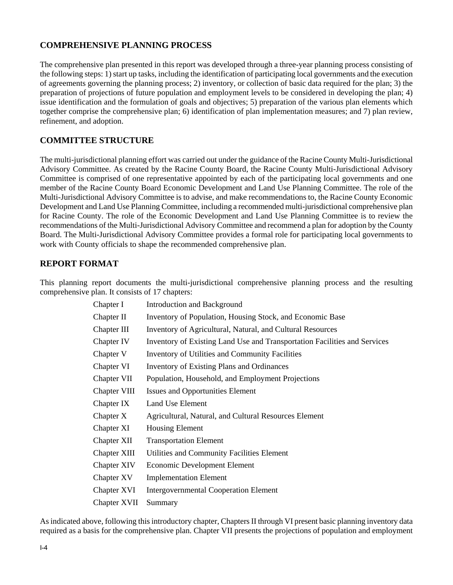## **COMPREHENSIVE PLANNING PROCESS**

The comprehensive plan presented in this report was developed through a three-year planning process consisting of the following steps: 1) start up tasks, including the identification of participating local governments and the execution of agreements governing the planning process; 2) inventory, or collection of basic data required for the plan; 3) the preparation of projections of future population and employment levels to be considered in developing the plan; 4) issue identification and the formulation of goals and objectives; 5) preparation of the various plan elements which together comprise the comprehensive plan; 6) identification of plan implementation measures; and 7) plan review, refinement, and adoption.

## **COMMITTEE STRUCTURE**

The multi-jurisdictional planning effort was carried out under the guidance of the Racine County Multi-Jurisdictional Advisory Committee. As created by the Racine County Board, the Racine County Multi-Jurisdictional Advisory Committee is comprised of one representative appointed by each of the participating local governments and one member of the Racine County Board Economic Development and Land Use Planning Committee. The role of the Multi-Jurisdictional Advisory Committee is to advise, and make recommendations to, the Racine County Economic Development and Land Use Planning Committee, including a recommended multi-jurisdictional comprehensive plan for Racine County. The role of the Economic Development and Land Use Planning Committee is to review the recommendations of the Multi-Jurisdictional Advisory Committee and recommend a plan for adoption by the County Board. The Multi-Jurisdictional Advisory Committee provides a formal role for participating local governments to work with County officials to shape the recommended comprehensive plan.

### **REPORT FORMAT**

This planning report documents the multi-jurisdictional comprehensive planning process and the resulting comprehensive plan. It consists of 17 chapters:

| Chapter I          | <b>Introduction and Background</b>                                        |
|--------------------|---------------------------------------------------------------------------|
| Chapter II         | Inventory of Population, Housing Stock, and Economic Base                 |
| Chapter III        | Inventory of Agricultural, Natural, and Cultural Resources                |
| Chapter IV         | Inventory of Existing Land Use and Transportation Facilities and Services |
| Chapter V          | <b>Inventory of Utilities and Community Facilities</b>                    |
| Chapter VI         | <b>Inventory of Existing Plans and Ordinances</b>                         |
| Chapter VII        | Population, Household, and Employment Projections                         |
| Chapter VIII       | <b>Issues and Opportunities Element</b>                                   |
| Chapter IX         | Land Use Element                                                          |
| Chapter X          | Agricultural, Natural, and Cultural Resources Element                     |
| Chapter XI         | <b>Housing Element</b>                                                    |
| Chapter XII        | <b>Transportation Element</b>                                             |
| Chapter XIII       | Utilities and Community Facilities Element                                |
| <b>Chapter XIV</b> | <b>Economic Development Element</b>                                       |
| Chapter XV         | <b>Implementation Element</b>                                             |
| Chapter XVI        | <b>Intergovernmental Cooperation Element</b>                              |
| Chapter XVII       | Summary                                                                   |

As indicated above, following this introductory chapter, Chapters II through VI present basic planning inventory data required as a basis for the comprehensive plan. Chapter VII presents the projections of population and employment